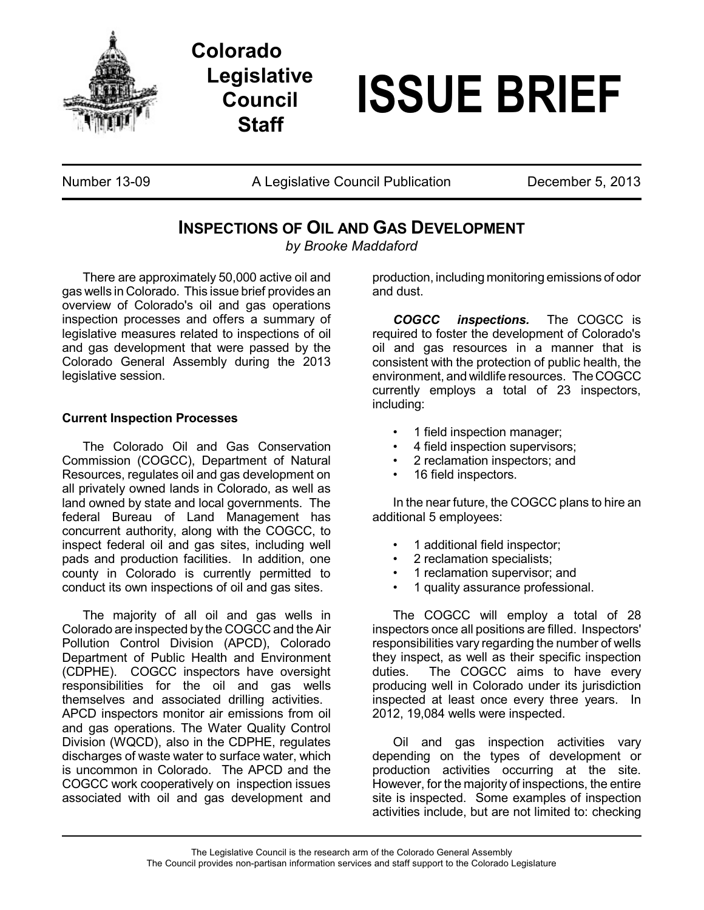

**Colorado Legislative Council Staff**

## **ISSUE BRIEF**

Number 13-09 **A Legislative Council Publication** December 5, 2013

## **INSPECTIONS OF OIL AND GAS DEVELOPMENT**

*by Brooke Maddaford*

There are approximately 50,000 active oil and gas wells in Colorado. This issue brief provides an overview of Colorado's oil and gas operations inspection processes and offers a summary of legislative measures related to inspections of oil and gas development that were passed by the Colorado General Assembly during the 2013 legislative session.

## **Current Inspection Processes**

The Colorado Oil and Gas Conservation Commission (COGCC), Department of Natural Resources, regulates oil and gas development on all privately owned lands in Colorado, as well as land owned by state and local governments. The federal Bureau of Land Management has concurrent authority, along with the COGCC, to inspect federal oil and gas sites, including well pads and production facilities. In addition, one county in Colorado is currently permitted to conduct its own inspections of oil and gas sites.

The majority of all oil and gas wells in Colorado are inspected by the COGCC and the Air Pollution Control Division (APCD), Colorado Department of Public Health and Environment (CDPHE). COGCC inspectors have oversight responsibilities for the oil and gas wells themselves and associated drilling activities. APCD inspectors monitor air emissions from oil and gas operations. The Water Quality Control Division (WQCD), also in the CDPHE, regulates discharges of waste water to surface water, which is uncommon in Colorado. The APCD and the COGCC work cooperatively on inspection issues associated with oil and gas development and

production, including monitoring emissions of odor and dust.

*COGCC inspections.* The COGCC is required to foster the development of Colorado's oil and gas resources in a manner that is consistent with the protection of public health, the environment, and wildlife resources. TheCOGCC currently employs a total of 23 inspectors, including:

- 1 field inspection manager;
- 4 field inspection supervisors;
- 2 reclamation inspectors; and
- 16 field inspectors.

In the near future, the COGCC plans to hire an additional 5 employees:

- 1 additional field inspector;
- 2 reclamation specialists;
- 1 reclamation supervisor; and
- 1 quality assurance professional.

The COGCC will employ a total of 28 inspectors once all positions are filled. Inspectors' responsibilities vary regarding the number of wells they inspect, as well as their specific inspection duties. The COGCC aims to have every producing well in Colorado under its jurisdiction inspected at least once every three years. In 2012, 19,084 wells were inspected.

Oil and gas inspection activities vary depending on the types of development or production activities occurring at the site. However, for the majority of inspections, the entire site is inspected. Some examples of inspection activities include, but are not limited to: checking